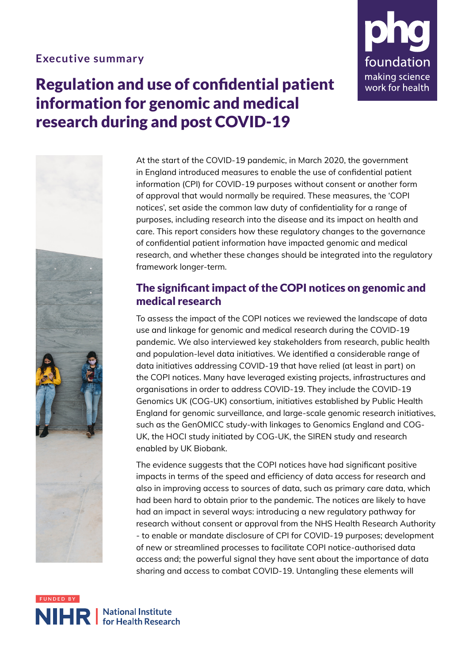#### **Executive summary**

# Regulation and use of confidential patient information for genomic and medical research during and post COVID-19





At the start of the COVID-19 pandemic, in March 2020, the government in England introduced measures to enable the use of confidential patient information (CPI) for COVID-19 purposes without consent or another form of approval that would normally be required. These measures, the 'COPI notices', set aside the common law duty of confidentiality for a range of purposes, including research into the disease and its impact on health and care. This report considers how these regulatory changes to the governance of confidential patient information have impacted genomic and medical research, and whether these changes should be integrated into the regulatory framework longer-term.

# The significant impact of the COPI notices on genomic and medical research

To assess the impact of the COPI notices we reviewed the landscape of data use and linkage for genomic and medical research during the COVID-19 pandemic. We also interviewed key stakeholders from research, public health and population-level data initiatives. We identified a considerable range of data initiatives addressing COVID-19 that have relied (at least in part) on the COPI notices. Many have leveraged existing projects, infrastructures and organisations in order to address COVID-19. They include the COVID-19 Genomics UK (COG-UK) consortium, initiatives established by Public Health England for genomic surveillance, and large-scale genomic research initiatives, such as the GenOMICC study-with linkages to Genomics England and COG-UK, the HOCI study initiated by COG-UK, the SIREN study and research enabled by UK Biobank.

The evidence suggests that the COPI notices have had significant positive impacts in terms of the speed and efficiency of data access for research and also in improving access to sources of data, such as primary care data, which had been hard to obtain prior to the pandemic. The notices are likely to have had an impact in several ways: introducing a new regulatory pathway for research without consent or approval from the NHS Health Research Authority - to enable or mandate disclosure of CPI for COVID-19 purposes; development of new or streamlined processes to facilitate COPI notice-authorised data access and; the powerful signal they have sent about the importance of data sharing and access to combat COVID-19. Untangling these elements will

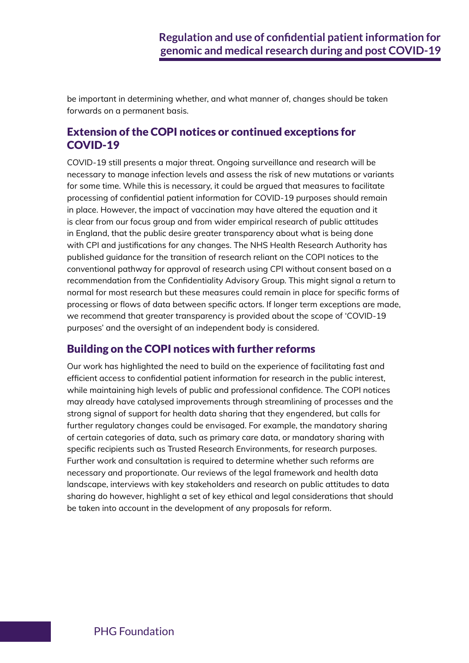be important in determining whether, and what manner of, changes should be taken forwards on a permanent basis.

### Extension of the COPI notices or continued exceptions for COVID-19

COVID-19 still presents a major threat. Ongoing surveillance and research will be necessary to manage infection levels and assess the risk of new mutations or variants for some time. While this is necessary, it could be argued that measures to facilitate processing of confidential patient information for COVID-19 purposes should remain in place. However, the impact of vaccination may have altered the equation and it is clear from our focus group and from wider empirical research of public attitudes in England, that the public desire greater transparency about what is being done with CPI and justifications for any changes. The NHS Health Research Authority has published guidance for the transition of research reliant on the COPI notices to the conventional pathway for approval of research using CPI without consent based on a recommendation from the Confidentiality Advisory Group. This might signal a return to normal for most research but these measures could remain in place for specific forms of processing or flows of data between specific actors. If longer term exceptions are made, we recommend that greater transparency is provided about the scope of 'COVID-19 purposes' and the oversight of an independent body is considered.

## Building on the COPI notices with further reforms

Our work has highlighted the need to build on the experience of facilitating fast and efficient access to confidential patient information for research in the public interest, while maintaining high levels of public and professional confidence. The COPI notices may already have catalysed improvements through streamlining of processes and the strong signal of support for health data sharing that they engendered, but calls for further regulatory changes could be envisaged. For example, the mandatory sharing of certain categories of data, such as primary care data, or mandatory sharing with specific recipients such as Trusted Research Environments, for research purposes. Further work and consultation is required to determine whether such reforms are necessary and proportionate. Our reviews of the legal framework and health data landscape, interviews with key stakeholders and research on public attitudes to data sharing do however, highlight a set of key ethical and legal considerations that should be taken into account in the development of any proposals for reform.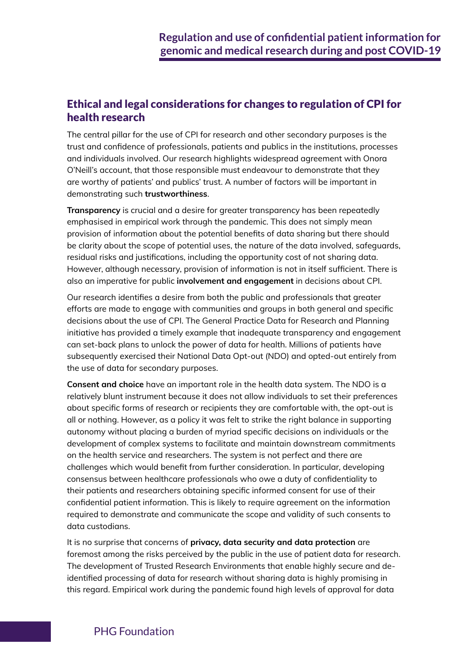## Ethical and legal considerations for changes to regulation of CPI for health research

The central pillar for the use of CPI for research and other secondary purposes is the trust and confidence of professionals, patients and publics in the institutions, processes and individuals involved. Our research highlights widespread agreement with Onora O'Neill's account, that those responsible must endeavour to demonstrate that they are worthy of patients' and publics' trust. A number of factors will be important in demonstrating such **trustworthiness**.

**Transparency** is crucial and a desire for greater transparency has been repeatedly emphasised in empirical work through the pandemic. This does not simply mean provision of information about the potential benefits of data sharing but there should be clarity about the scope of potential uses, the nature of the data involved, safeguards, residual risks and justifications, including the opportunity cost of not sharing data. However, although necessary, provision of information is not in itself sufficient. There is also an imperative for public **involvement and engagement** in decisions about CPI.

Our research identifies a desire from both the public and professionals that greater efforts are made to engage with communities and groups in both general and specific decisions about the use of CPI. The General Practice Data for Research and Planning initiative has provided a timely example that inadequate transparency and engagement can set-back plans to unlock the power of data for health. Millions of patients have subsequently exercised their National Data Opt-out (NDO) and opted-out entirely from the use of data for secondary purposes.

**Consent and choice** have an important role in the health data system. The NDO is a relatively blunt instrument because it does not allow individuals to set their preferences about specific forms of research or recipients they are comfortable with, the opt-out is all or nothing. However, as a policy it was felt to strike the right balance in supporting autonomy without placing a burden of myriad specific decisions on individuals or the development of complex systems to facilitate and maintain downstream commitments on the health service and researchers. The system is not perfect and there are challenges which would benefit from further consideration. In particular, developing consensus between healthcare professionals who owe a duty of confidentiality to their patients and researchers obtaining specific informed consent for use of their confidential patient information. This is likely to require agreement on the information required to demonstrate and communicate the scope and validity of such consents to data custodians.

It is no surprise that concerns of **privacy, data security and data protection** are foremost among the risks perceived by the public in the use of patient data for research. The development of Trusted Research Environments that enable highly secure and deidentified processing of data for research without sharing data is highly promising in this regard. Empirical work during the pandemic found high levels of approval for data

#### PHG Foundation